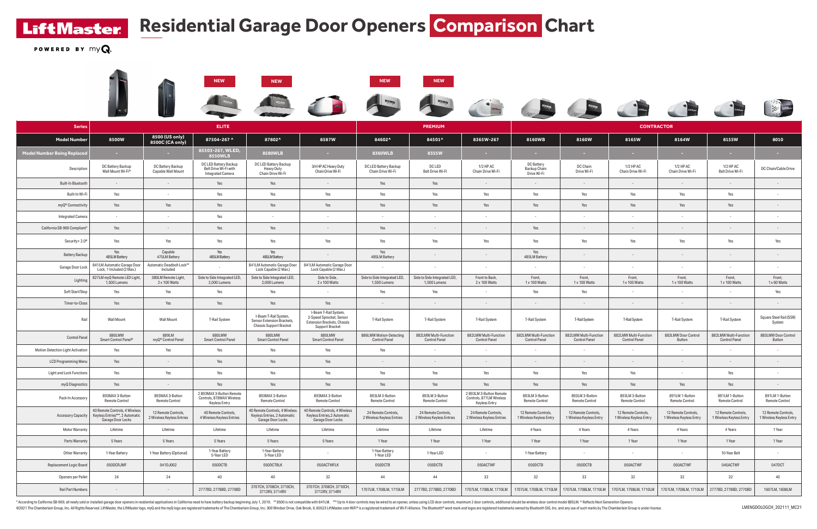**LiftMaster** 

## **Residential Garage Door Openers Comparison Chart**

POWERED BY  $myQ$ 

|                                    |                                                                                        |                                                   | <b>NEW</b>                                                                 | <b>NEW</b>                                                                            |                                                                                                     | <b>NEW</b>                                        | <b>NEW</b>                                                                       |                                                                      |                                                  |                                                 |                                                 |                                                 |                                                 |                                                 |
|------------------------------------|----------------------------------------------------------------------------------------|---------------------------------------------------|----------------------------------------------------------------------------|---------------------------------------------------------------------------------------|-----------------------------------------------------------------------------------------------------|---------------------------------------------------|----------------------------------------------------------------------------------|----------------------------------------------------------------------|--------------------------------------------------|-------------------------------------------------|-------------------------------------------------|-------------------------------------------------|-------------------------------------------------|-------------------------------------------------|
|                                    |                                                                                        |                                                   |                                                                            |                                                                                       |                                                                                                     | $\blacksquare$                                    | $\begin{matrix} \mathbb{R} & \mathbb{R} \\ \mathbb{R} & \mathbb{R} \end{matrix}$ |                                                                      |                                                  |                                                 |                                                 |                                                 |                                                 | <b>Altres LiftMaster</b>                        |
| <b>Series</b>                      |                                                                                        |                                                   | <b>ELITE</b>                                                               |                                                                                       |                                                                                                     |                                                   | <b>PREMIUM</b>                                                                   |                                                                      |                                                  |                                                 | <b>CONTRACTOR</b>                               |                                                 |                                                 |                                                 |
| <b>Model Number</b>                | 8500W                                                                                  | 8500 (US only)<br>8500C (CA only)                 | 87504-267 ^                                                                | 87802^                                                                                | 8587W                                                                                               | 84602^                                            | 84501^                                                                           | 8365W-267                                                            | 8160WB                                           | 8160W                                           | 8165W                                           | 8164W                                           | 8155W                                           | 8010                                            |
| <b>Model Number Being Replaced</b> | $\sim 10^{-1}$                                                                         | <b>Contract</b>                                   | 85503-267, WLED,<br>8550WLB                                                | 8580WLB                                                                               | <b>Contract</b>                                                                                     | 8360WLB                                           | 8355W                                                                            | <b>Contract</b>                                                      | <b>Contract</b>                                  | <b>Contract</b>                                 | <b>Contract</b>                                 | <b>COL</b>                                      | <b>Contract</b>                                 | <b>Contract</b>                                 |
| Description                        | DC Battery Backup<br>Wall Mount Wi-Fi®                                                 | DC Battery Backup<br>Capable Wall Mount           | DC LED Battery Backup<br>Belt Drive Wi-Fi with<br><b>Integrated Camera</b> | DC LED Battery Backup<br>Heavy Duty<br>Chain Drive Wi-Fi                              | 3/4 HP AC Heavy Duty<br>Chain Drive Wi-Fi                                                           | DC LED Battery Backup<br>Chain Drive Wi-Fi        | DC LED<br>Belt Drive Wi-Fi                                                       | 1/2 HP AC<br>Chain Drive Wi-Fi                                       | DC Battery<br><b>Backup Chain</b><br>Drive Wi-Fi | DC Chain<br>Drive Wi-Fi                         | 1/2 HP AC<br>Chain Drive Wi-Fi                  | 1/2 HP AC<br>Chain Drive Wi-Fi                  | 1/2 HP AC<br>Belt Drive Wi-Fi                   | DC Chain/Cable Drive                            |
| <b>Built-In Bluetooth</b>          | $\sim$ $-$                                                                             | $\sim$                                            | Yes                                                                        | Yes                                                                                   | $\sim$                                                                                              | Yes                                               | Yes                                                                              | $\sim$ $-$                                                           | $\sim$ $-$                                       |                                                 | $\sim$                                          | $\sim$                                          | $\sim$                                          | $\sim$                                          |
| Built-In Wi-Fi                     | Yes                                                                                    | $\sim$ $-$                                        | Yes                                                                        | Yes                                                                                   | Yes                                                                                                 | Yes                                               | Yes                                                                              | Yes                                                                  | Yes                                              | Yes                                             | Yes                                             | Yes                                             | Yes                                             | $\sim$                                          |
| myQ <sup>®</sup> Connectivity      | Yes                                                                                    | Yes                                               | Yes                                                                        | Yes                                                                                   | Yes                                                                                                 | Yes                                               | Yes                                                                              | Yes                                                                  | Yes                                              | Yes                                             | Yes                                             | Yes                                             | Yes                                             | $\sim$                                          |
| <b>Integrated Camera</b>           | $\sim$                                                                                 | $\sim$                                            | Yes                                                                        | $\sim$                                                                                |                                                                                                     |                                                   |                                                                                  |                                                                      | $\overline{\phantom{a}}$                         |                                                 |                                                 |                                                 |                                                 | $\sim$                                          |
| California SB-969 Compliant*       | Yes                                                                                    | $\sim$                                            | Yes                                                                        | Yes                                                                                   | $\sim$ $-$                                                                                          | Yes                                               | $\sim$                                                                           | $\sim$                                                               | Yes                                              | $\sim$ $-$                                      | $\sim$                                          | $\sim$                                          | $\sim$                                          | $\sim$                                          |
| Security+ 2.0 <sup>®</sup>         | Yes                                                                                    | Yes                                               | Yes                                                                        | Yes                                                                                   | Yes                                                                                                 | Yes                                               | Yes                                                                              | Yes                                                                  | Yes                                              | Yes                                             | Yes                                             | Yes                                             | Yes                                             | Yes                                             |
| <b>Battery Backup</b>              | Yes<br>485LM Battery                                                                   | Capable<br>475LM Battery                          | Yes<br>485LM Battery                                                       | Yes<br>485LM Battery                                                                  | $\sim$ $-$                                                                                          | Yes<br>485LM Battery                              |                                                                                  | $\sim$                                                               | Yes<br>485LM Battery                             | $\sim$                                          | $\sim$                                          | $\sim$                                          | $\sim$                                          | $\sim$                                          |
| Garage Door Lock                   | 841LM Automatic Garage Door<br>Lock, 1 Included (2 Max.)                               | Automatic Deadbolt Lock**<br>Included             |                                                                            | 841LM Automatic Garage Door<br>Lock Capable (2 Max.)                                  | 841LM Automatic Garage Door<br>Lock Capable (2 Max.)                                                |                                                   | $\sim$                                                                           | $\sim$                                                               | $\sim$                                           | $\sim$                                          | $\sim$                                          | $\sim$                                          | $\sim$                                          | $\sim$                                          |
| Lighting                           | 827LM myQ Remote LED Light,<br>1,500 Lumens                                            | 380LM Remote Light<br>2 x 100 Watts               | Side to Side Integrated LED,<br>2,000 Lumens                               | Side to Side Integrated LED,<br>2,000 Lumens                                          | Side to Side,<br>2 x 100 Watts                                                                      | Side to Side Integrated LED,<br>1,500 Lumens      | Side to Side Integrated LED,<br>1,500 Lumens                                     | Front to Back,<br>2 x 100 Watts                                      | Front,<br>1 x 100 Watts                          | Front,<br>1 x 100 Watts                         | Front,<br>1 x 100 Watts                         | Front,<br>1 x 100 Watts                         | Front,<br>1 x 100 Watts                         | Front,<br>1 x 60 Watts                          |
| Soft Start/Stop                    | Yes                                                                                    | Yes                                               | Yes                                                                        | Yes                                                                                   | $\sim$ $-$                                                                                          | Yes                                               | Yes                                                                              | $\sim$                                                               | Yes                                              | Yes                                             | $\sim$                                          | $\sim$                                          |                                                 | Yes                                             |
| Timer-to-Close                     | Yes                                                                                    | Yes                                               | Yes                                                                        | Yes                                                                                   | Yes                                                                                                 | $\sim$ $-$                                        | $\sim$ $-$                                                                       | $\sim$ $-$                                                           | $\sim$                                           | $\sim$ $-$                                      | $\sim$ $-$                                      | $\sim$                                          | $\sim$ $-$                                      | $\sim$                                          |
| Rail                               | <b>Wall Mount</b>                                                                      | Wall Mount                                        | <b>T-Rail System</b>                                                       | I-Beam T-Rail System,<br>Sensor Extension Brackets,<br><b>Chassis Support Bracket</b> | I-Beam T-Rail System,<br>2-Speed Sprocket, Sensor<br>Extension Brackets, Chassis<br>Support Bracket | <b>T-Rail System</b>                              | <b>T-Rail System</b>                                                             | <b>T-Rail System</b>                                                 | <b>T-Rail System</b>                             | <b>T-Rail System</b>                            | <b>T-Rail System</b>                            | <b>T-Rail System</b>                            | <b>T-Rail System</b>                            | Square Steel Rail (SSR)<br>System               |
| <b>Control Panel</b>               | 880LMW<br>Smart Control Panel <sup>®</sup>                                             | 889LM<br>myQ® Control Panel                       | 880LMW<br><b>Smart Control Panel</b>                                       | 880LMW<br><b>Smart Control Panel</b>                                                  | 880LMW<br><b>Smart Control Panel</b>                                                                | 886LMW Motion-Detecting<br><b>Control Panel</b>   | 882LMW Multi-Function<br><b>Control Panel</b>                                    | 882LMW Multi-Function<br><b>Control Panel</b>                        | 882LMW Multi-Function<br><b>Control Panel</b>    | 882LMW Multi-Function<br><b>Control Panel</b>   | 882LMW Multi-Function<br><b>Control Panel</b>   | 883LMW Door Control<br>Button                   | 882LMW Multi-Function<br><b>Control Panel</b>   | 883LMW Door Control<br>Button                   |
| Motion Detection Light Activation  | Yes                                                                                    | Yes                                               | Yes                                                                        | Yes                                                                                   | Yes                                                                                                 | Yes                                               |                                                                                  | $\sim$                                                               | $\sim$                                           |                                                 | $\sim$                                          | $\sim$                                          |                                                 | $\sim$                                          |
| <b>LCD Programming Menu</b>        | Yes                                                                                    | $\sim$                                            | Yes                                                                        | Yes                                                                                   | Yes                                                                                                 | $\sim$                                            |                                                                                  | $\sim$                                                               | $\sim$                                           | $\sim$                                          | $\sim$ $-$                                      | $\sim$                                          | $\sim$                                          | $\sim$ $-$                                      |
| Light and Lock Functions           | Yes                                                                                    | Yes                                               | Yes                                                                        | Yes                                                                                   | Yes                                                                                                 | Yes                                               | Yes                                                                              | Yes                                                                  | Yes                                              | Yes                                             | Yes                                             |                                                 | Yes                                             |                                                 |
| myQ Diagnostics                    | Yes                                                                                    | $\sim$                                            | Yes                                                                        | Yes                                                                                   | Yes                                                                                                 | Yes                                               | Yes                                                                              | Yes                                                                  | Yes                                              | Yes                                             | Yes                                             | Yes                                             | Yes                                             | $\sim$ $-$                                      |
| Pack-In Accessory                  | 893MAX 3-Button<br>Remote Control                                                      | 893MAX 3-Button<br>Remote Control                 | 2 893MAX 3-Button Remote<br>Controls, 878MAX Wireless<br>Keyless Entry     | 893MAX 3-Button<br>Remote Control                                                     | 893MAX 3-Button<br>Remote Control                                                                   | 893LM 3-Button<br>Remote Control                  | 893LM 3-Button<br>Remote Control                                                 | 2 893LM 3-Button Remote<br>Controls, 877LM Wireless<br>Keyless Entry | 893LM 3-Button<br>Remote Control                 | 893LM 3-Button<br>Remote Control                | 893LM 3-Button<br><b>Remote Control</b>         | 891LM 1-Button<br><b>Remote Control</b>         | 891LM 1-Button<br><b>Remote Control</b>         | 891LM 1-Button<br><b>Remote Control</b>         |
| Accessory Capacity                 | 40 Remote Controls, 4 Wireless<br>Keyless Entries***, 2 Automatic<br>Garage Door Locks | 12 Remote Controls,<br>2 Wireless Keyless Entries | 40 Remote Controls,<br>4 Wireless Keyless Entries                          | 40 Remote Controls, 4 Wireless<br>Keyless Entries, 2 Automatic<br>Garage Door Locks   | 40 Remote Controls, 4 Wireless<br>Keyless Entries, 2 Automatic<br>Garage Door Locks                 | 24 Remote Controls,<br>2 Wireless Keyless Entries | 24 Remote Controls,<br>2 Wireless Keyless Entries                                | 24 Remote Controls,<br>2 Wireless Keyless Entries                    | 12 Remote Controls,<br>1 Wireless Keyless Entry  | 12 Remote Controls,<br>1 Wireless Keyless Entry | 12 Remote Controls,<br>1 Wireless Keyless Entry | 12 Remote Controls,<br>1 Wireless Keyless Entry | 12 Remote Controls,<br>1 Wireless Keyless Entry | 12 Remote Controls,<br>1 Wireless Keyless Entry |
| <b>Motor Warranty</b>              | Lifetime                                                                               | Lifetime                                          | Lifetime                                                                   | Lifetime                                                                              | Lifetime                                                                                            | Lifetime                                          | Lifetime                                                                         | Lifetime                                                             | 4 Years                                          | 4 Years                                         | 4 Years                                         | 4 Years                                         | 4 Years                                         | 1 Year                                          |
| Parts Warranty                     | 5 Years                                                                                | 5 Years                                           | 5 Years                                                                    | 5 Years                                                                               | 5 Years                                                                                             | 1 Year                                            | 1 Year                                                                           | 1 Year                                                               | 1 Year                                           | 1 Year                                          | 1 Year                                          | 1 Year                                          | 1 Year                                          | 1 Year                                          |
| Other Warranty                     | 1-Year Battery                                                                         | 1-Year Battery (Optional)                         | 1-Year Battery<br>5-Year LED                                               | 1-Year Battery<br>5-Year LED                                                          |                                                                                                     | 1-Year Battery<br>1-Year LED                      | 1-Year LED                                                                       | $\sim$                                                               | 1-Year Battery                                   | $\sim$ $-$                                      | $\sim$                                          | $\sim$                                          | 10-Year Belt                                    | $\sim$                                          |
| Replacement Logic Board            | 050DCRJWF                                                                              | 041DJ002                                          | 050DCTB                                                                    | 050DCTBLK                                                                             | 050ACTWFLK                                                                                          | 050DCTB                                           | 050DCTB                                                                          | 050ACTWF                                                             | 050DCTB                                          | 050DCTB                                         | 050ACTWF                                        | 050ACTWF                                        | 045ACTWF                                        | 047DCT                                          |
| Openers per Pallet                 | 24                                                                                     | 24                                                | 40                                                                         | 40                                                                                    | 32                                                                                                  | 44                                                | 44                                                                               | 32                                                                   | 32                                               | 32                                              | 32                                              | 32                                              | 32                                              | 40                                              |
| Rail Part Numbers                  | $\sim$                                                                                 | $\sim$                                            | 2777BD, 2778BD, 2770BD                                                     | 3707CH, 3708CH, 3710CH,<br>3712RV, 3714RV                                             | 3707CH, 3708CH, 3710CH,<br>3712RV, 3714RV                                                           | 1707LM, 1708LM, 1710LM                            | 2777BD, 2778BD, 2770BD                                                           | 1707LM, 1708LM, 1710LM                                               |                                                  | 1707LM, 1708LM, 1710LM   1707LM, 1708LM, 1710LM | 1707LM, 1708LM, 1710LM                          | 1707LM, 1708LM, 1710LM                          | 2777BD, 2778BD, 2770BD                          | 1607LM, 1608LM                                  |

\* According to California SB-969, all newly sold or installed garage door openers in residential applications in California need to have battery backup beginning July 1, 2019. \*\* 8500 is not compatible with 841LM. \*\*\* Up t ©2021 The Chamberlain Group, Inc. All Rights Reserved. LiftMaster, the LiftMaster. logo, myQ and the myQ logo are registered trademarks of The Chamberlain Group, Inc. 300 Windsor Drive, Dak Brook, IL 60523 LiftMaster.com